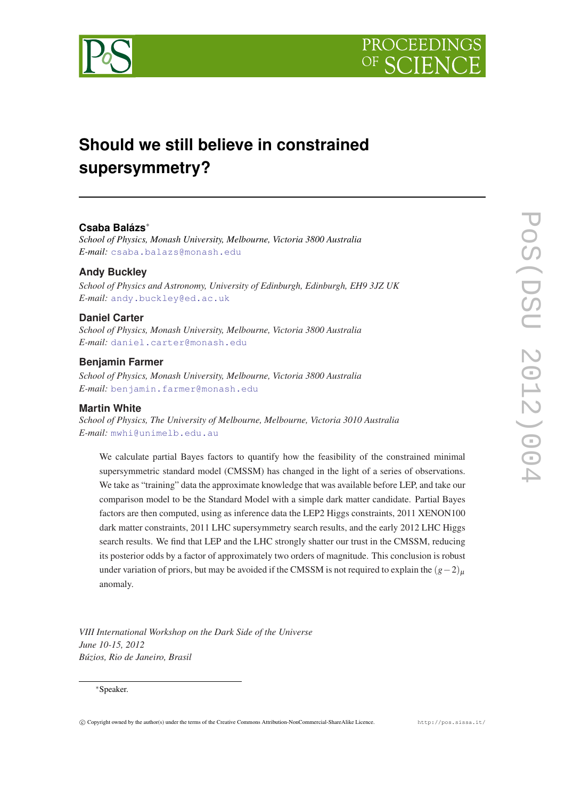



# **Should we still believe in constrained supersymmetry?**

# **Csaba Balázs**<sup>∗</sup>

*School of Physics, Monash University, Melbourne, Victoria 3800 Australia E-mail:* [csaba.balazs@monash.edu](mailto:csaba.balazs@monash.edu)

## **Andy Buckley**

*School of Physics and Astronomy, University of Edinburgh, Edinburgh, EH9 3JZ UK E-mail:* [andy.buckley@ed.ac.uk](mailto:andy.buckley@ed.ac.uk)

#### **Daniel Carter**

*School of Physics, Monash University, Melbourne, Victoria 3800 Australia E-mail:* [daniel.carter@monash.edu](mailto:daniel.carter@monash.edu)

#### **Benjamin Farmer**

*School of Physics, Monash University, Melbourne, Victoria 3800 Australia E-mail:* [benjamin.farmer@monash.edu](mailto:benjamin.farmer@monash.edu)

#### **Martin White**

*School of Physics, The University of Melbourne, Melbourne, Victoria 3010 Australia E-mail:* [mwhi@unimelb.edu.au](mailto:mwhi@unimelb.edu.au)

We calculate partial Bayes factors to quantify how the feasibility of the constrained minimal supersymmetric standard model (CMSSM) has changed in the light of a series of observations. We take as "training" data the approximate knowledge that was available before LEP, and take our comparison model to be the Standard Model with a simple dark matter candidate. Partial Bayes factors are then computed, using as inference data the LEP2 Higgs constraints, 2011 XENON100 dark matter constraints, 2011 LHC supersymmetry search results, and the early 2012 LHC Higgs search results. We find that LEP and the LHC strongly shatter our trust in the CMSSM, reducing its posterior odds by a factor of approximately two orders of magnitude. This conclusion is robust under variation of priors, but may be avoided if the CMSSM is not required to explain the  $(g-2)_{\mu}$ anomaly.

*VIII International Workshop on the Dark Side of the Universe June 10-15, 2012 Búzios, Rio de Janeiro, Brasil*

#### <sup>∗</sup>Speaker.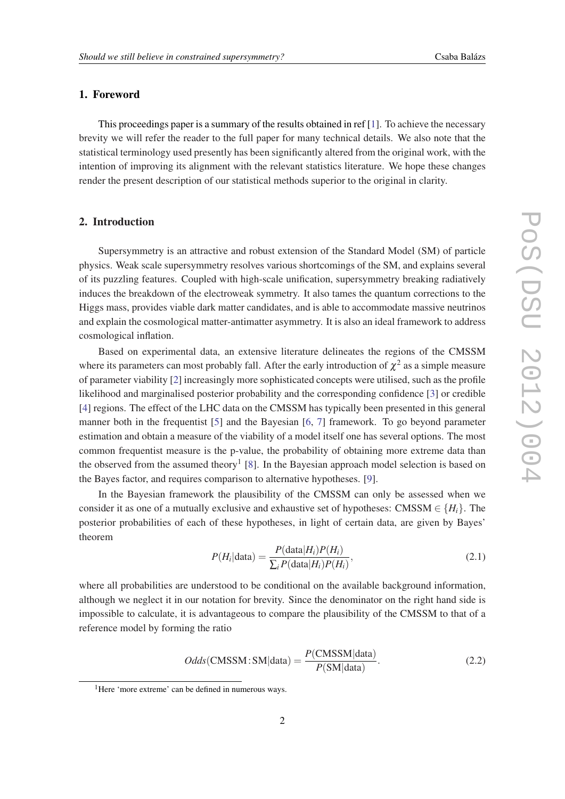#### <span id="page-1-0"></span>1. Foreword

This proceedings paper is a summary of the results obtained in ref [[1](#page-7-0)]. To achieve the necessary brevity we will refer the reader to the full paper for many technical details. We also note that the statistical terminology used presently has been significantly altered from the original work, with the intention of improving its alignment with the relevant statistics literature. We hope these changes render the present description of our statistical methods superior to the original in clarity.

#### 2. Introduction

Supersymmetry is an attractive and robust extension of the Standard Model (SM) of particle physics. Weak scale supersymmetry resolves various shortcomings of the SM, and explains several of its puzzling features. Coupled with high-scale unification, supersymmetry breaking radiatively induces the breakdown of the electroweak symmetry. It also tames the quantum corrections to the Higgs mass, provides viable dark matter candidates, and is able to accommodate massive neutrinos and explain the cosmological matter-antimatter asymmetry. It is also an ideal framework to address cosmological inflation.

Based on experimental data, an extensive literature delineates the regions of the CMSSM where its parameters can most probably fall. After the early introduction of  $\chi^2$  as a simple measure of parameter viability [[2](#page-7-0)] increasingly more sophisticated concepts were utilised, such as the profile likelihood and marginalised posterior probability and the corresponding confidence [\[3\]](#page-7-0) or credible [[4](#page-7-0)] regions. The effect of the LHC data on the CMSSM has typically been presented in this general manner both in the frequentist [[5](#page-7-0)] and the Bayesian [\[6,](#page-7-0) [7\]](#page-7-0) framework. To go beyond parameter estimation and obtain a measure of the viability of a model itself one has several options. The most common frequentist measure is the p-value, the probability of obtaining more extreme data than the observed from the assumed theory<sup>1</sup> [\[8\]](#page-7-0). In the Bayesian approach model selection is based on the Bayes factor, and requires comparison to alternative hypotheses. [[9](#page-7-0)].

In the Bayesian framework the plausibility of the CMSSM can only be assessed when we consider it as one of a mutually exclusive and exhaustive set of hypotheses: CMSSM  $\in \{H_i\}$ . The posterior probabilities of each of these hypotheses, in light of certain data, are given by Bayes' theorem

$$
P(H_i|\text{data}) = \frac{P(\text{data}|H_i)P(H_i)}{\sum_i P(\text{data}|H_i)P(H_i)},
$$
\n(2.1)

where all probabilities are understood to be conditional on the available background information, although we neglect it in our notation for brevity. Since the denominator on the right hand side is impossible to calculate, it is advantageous to compare the plausibility of the CMSSM to that of a reference model by forming the ratio

$$
Odds(\text{CMSSM}:SM|data) = \frac{P(\text{CMSSM}|data)}{P(\text{SM}|data)}.
$$
\n(2.2)

<sup>&</sup>lt;sup>1</sup>Here 'more extreme' can be defined in numerous ways.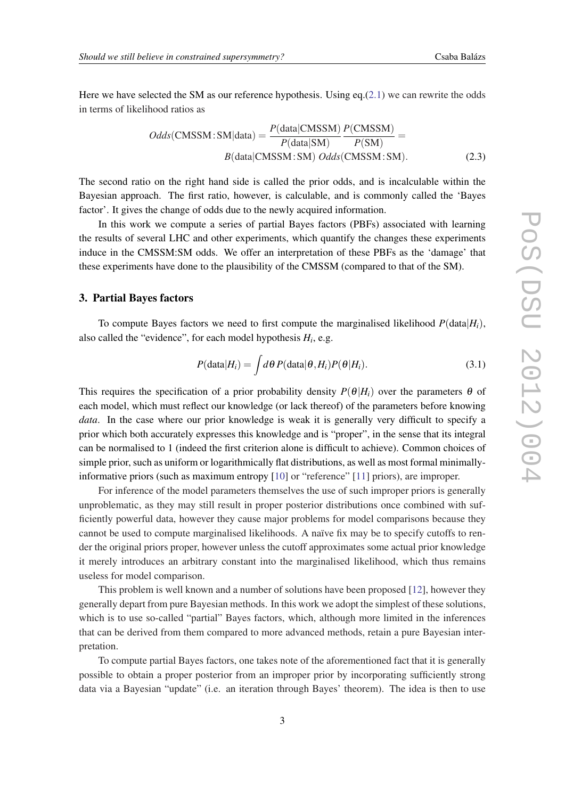Here we have selected the SM as our reference hypothesis. Using eq. $(2.1)$  $(2.1)$  $(2.1)$  we can rewrite the odds in terms of likelihood ratios as

$$
Odds(\text{CMSSM}:SM|data) = \frac{P(data|\text{CMSSM})}{P(data|\text{SM})} \frac{P(\text{CMSSM})}{P(\text{SM})} =
$$
  
B(data|\text{CMSSM}:SM) Odds(\text{CMSSM}:SM). (2.3)

The second ratio on the right hand side is called the prior odds, and is incalculable within the Bayesian approach. The first ratio, however, is calculable, and is commonly called the 'Bayes factor'. It gives the change of odds due to the newly acquired information.

In this work we compute a series of partial Bayes factors (PBFs) associated with learning the results of several LHC and other experiments, which quantify the changes these experiments induce in the CMSSM:SM odds. We offer an interpretation of these PBFs as the 'damage' that these experiments have done to the plausibility of the CMSSM (compared to that of the SM).

#### 3. Partial Bayes factors

To compute Bayes factors we need to first compute the marginalised likelihood  $P(\text{data}|H_i)$ , also called the "evidence", for each model hypothesis  $H_i$ , e.g.

$$
P(\text{data}|H_i) = \int d\theta \, P(\text{data}|\theta, H_i) P(\theta|H_i). \tag{3.1}
$$

This requires the specification of a prior probability density  $P(\theta|H_i)$  over the parameters  $\theta$  of each model, which must reflect our knowledge (or lack thereof) of the parameters before knowing *data*. In the case where our prior knowledge is weak it is generally very difficult to specify a prior which both accurately expresses this knowledge and is "proper", in the sense that its integral can be normalised to 1 (indeed the first criterion alone is difficult to achieve). Common choices of simple prior, such as uniform or logarithmically flat distributions, as well as most formal minimallyinformative priors (such as maximum entropy [\[10](#page-7-0)] or "reference" [\[11](#page-7-0)] priors), are improper.

For inference of the model parameters themselves the use of such improper priors is generally unproblematic, as they may still result in proper posterior distributions once combined with sufficiently powerful data, however they cause major problems for model comparisons because they cannot be used to compute marginalised likelihoods. A naïve fix may be to specify cutoffs to render the original priors proper, however unless the cutoff approximates some actual prior knowledge it merely introduces an arbitrary constant into the marginalised likelihood, which thus remains useless for model comparison.

This problem is well known and a number of solutions have been proposed [\[12](#page-7-0)], however they generally depart from pure Bayesian methods. In this work we adopt the simplest of these solutions, which is to use so-called "partial" Bayes factors, which, although more limited in the inferences that can be derived from them compared to more advanced methods, retain a pure Bayesian interpretation.

To compute partial Bayes factors, one takes note of the aforementioned fact that it is generally possible to obtain a proper posterior from an improper prior by incorporating sufficiently strong data via a Bayesian "update" (i.e. an iteration through Bayes' theorem). The idea is then to use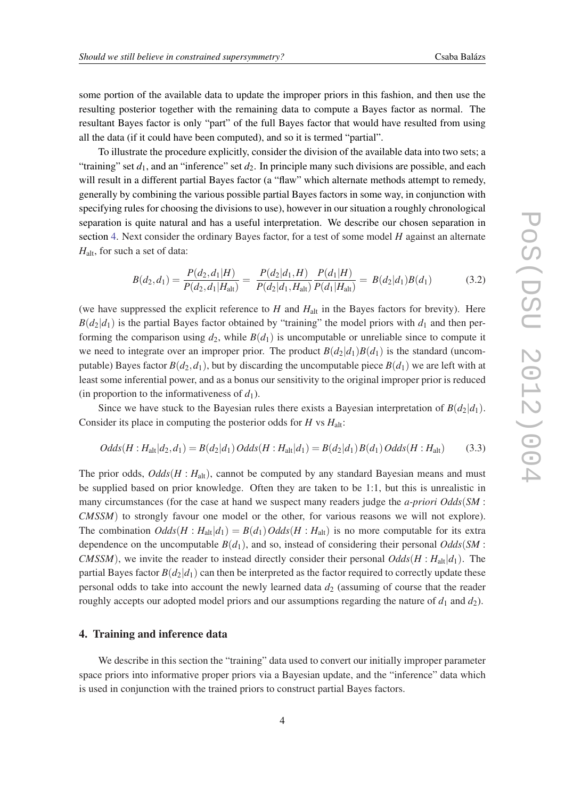<span id="page-3-0"></span>some portion of the available data to update the improper priors in this fashion, and then use the resulting posterior together with the remaining data to compute a Bayes factor as normal. The resultant Bayes factor is only "part" of the full Bayes factor that would have resulted from using all the data (if it could have been computed), and so it is termed "partial".

To illustrate the procedure explicitly, consider the division of the available data into two sets; a "training" set  $d_1$ , and an "inference" set  $d_2$ . In principle many such divisions are possible, and each will result in a different partial Bayes factor (a "flaw" which alternate methods attempt to remedy, generally by combining the various possible partial Bayes factors in some way, in conjunction with specifying rules for choosing the divisions to use), however in our situation a roughly chronological separation is quite natural and has a useful interpretation. We describe our chosen separation in section 4. Next consider the ordinary Bayes factor, for a test of some model *H* against an alternate *H*<sub>alt</sub>, for such a set of data:

$$
B(d_2, d_1) = \frac{P(d_2, d_1|H)}{P(d_2, d_1|H_{\text{alt}})} = \frac{P(d_2|d_1, H)}{P(d_2|d_1, H_{\text{alt}})} \frac{P(d_1|H)}{P(d_1|H_{\text{alt}})} = B(d_2|d_1)B(d_1)
$$
(3.2)

(we have suppressed the explicit reference to *H* and *H*alt in the Bayes factors for brevity). Here  $B(d_2|d_1)$  is the partial Bayes factor obtained by "training" the model priors with  $d_1$  and then performing the comparison using  $d_2$ , while  $B(d_1)$  is uncomputable or unreliable since to compute it we need to integrate over an improper prior. The product  $B(d_2|d_1)B(d_1)$  is the standard (uncomputable) Bayes factor  $B(d_2, d_1)$ , but by discarding the uncomputable piece  $B(d_1)$  we are left with at least some inferential power, and as a bonus our sensitivity to the original improper prior is reduced (in proportion to the informativeness of  $d_1$ ).

Since we have stuck to the Bayesian rules there exists a Bayesian interpretation of  $B(d_2|d_1)$ . Consider its place in computing the posterior odds for *H* vs *H*alt:

$$
Odds(H : H_{alt}|d_2, d_1) = B(d_2|d_1) \cdot Odds(H : H_{alt}|d_1) = B(d_2|d_1) \cdot B(d_1) \cdot Odds(H : H_{alt}) \tag{3.3}
$$

The prior odds,  $Odds(H : H_{alt})$ , cannot be computed by any standard Bayesian means and must be supplied based on prior knowledge. Often they are taken to be 1:1, but this is unrealistic in many circumstances (for the case at hand we suspect many readers judge the *a-priori Odds*(*SM* : *CMSSM*) to strongly favour one model or the other, for various reasons we will not explore). The combination  $Odds(H : H_{alt}|d_1) = B(d_1)Odds(H : H_{alt})$  is no more computable for its extra dependence on the uncomputable  $B(d_1)$ , and so, instead of considering their personal *Odds*(*SM* : *CMSSM*), we invite the reader to instead directly consider their personal  $Odds(H : H<sub>alt</sub>|d<sub>1</sub>)$ . The partial Bayes factor  $B(d_2|d_1)$  can then be interpreted as the factor required to correctly update these personal odds to take into account the newly learned data  $d_2$  (assuming of course that the reader roughly accepts our adopted model priors and our assumptions regarding the nature of  $d_1$  and  $d_2$ ).

#### 4. Training and inference data

We describe in this section the "training" data used to convert our initially improper parameter space priors into informative proper priors via a Bayesian update, and the "inference" data which is used in conjunction with the trained priors to construct partial Bayes factors.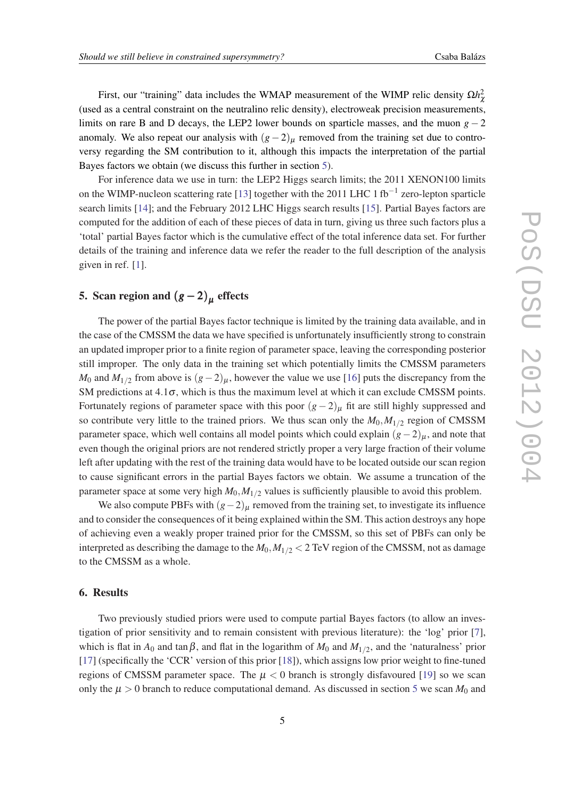First, our "training" data includes the WMAP measurement of the WIMP relic density  $\Omega h_\chi^2$ (used as a central constraint on the neutralino relic density), electroweak precision measurements, limits on rare B and D decays, the LEP2 lower bounds on sparticle masses, and the muon  $g - 2$ anomaly. We also repeat our analysis with  $(g-2)_{\mu}$  removed from the training set due to controversy regarding the SM contribution to it, although this impacts the interpretation of the partial Bayes factors we obtain (we discuss this further in section 5).

For inference data we use in turn: the LEP2 Higgs search limits; the 2011 XENON100 limits on the WIMP-nucleon scattering rate [[13\]](#page-7-0) together with the 2011 LHC 1 fb<sup>-1</sup> zero-lepton sparticle search limits [\[14](#page-7-0)]; and the February 2012 LHC Higgs search results [\[15](#page-7-0)]. Partial Bayes factors are computed for the addition of each of these pieces of data in turn, giving us three such factors plus a 'total' partial Bayes factor which is the cumulative effect of the total inference data set. For further details of the training and inference data we refer the reader to the full description of the analysis given in ref. [[1](#page-7-0)].

# 5. Scan region and  $(g-2)_{\mu}$  effects

The power of the partial Bayes factor technique is limited by the training data available, and in the case of the CMSSM the data we have specified is unfortunately insufficiently strong to constrain an updated improper prior to a finite region of parameter space, leaving the corresponding posterior still improper. The only data in the training set which potentially limits the CMSSM parameters *M*<sup>0</sup> and *M*<sub>1/2</sub> from above is  $(g-2)_{\mu}$ , however the value we use [\[16](#page-7-0)] puts the discrepancy from the SM predictions at  $4.1\sigma$ , which is thus the maximum level at which it can exclude CMSSM points. Fortunately regions of parameter space with this poor  $(g-2)$ <sub>µ</sub> fit are still highly suppressed and so contribute very little to the trained priors. We thus scan only the  $M_0, M_{1/2}$  region of CMSSM parameter space, which well contains all model points which could explain  $(g-2)_{\mu}$ , and note that even though the original priors are not rendered strictly proper a very large fraction of their volume left after updating with the rest of the training data would have to be located outside our scan region to cause significant errors in the partial Bayes factors we obtain. We assume a truncation of the parameter space at some very high *M*0,*M*1/<sup>2</sup> values is sufficiently plausible to avoid this problem.

We also compute PBFs with  $(g-2)_{\mu}$  removed from the training set, to investigate its influence and to consider the consequences of it being explained within the SM. This action destroys any hope of achieving even a weakly proper trained prior for the CMSSM, so this set of PBFs can only be interpreted as describing the damage to the  $M_0, M_{1/2}$  < 2 TeV region of the CMSSM, not as damage to the CMSSM as a whole.

#### 6. Results

Two previously studied priors were used to compute partial Bayes factors (to allow an investigation of prior sensitivity and to remain consistent with previous literature): the 'log' prior [\[7\]](#page-7-0), which is flat in  $A_0$  and tan  $\beta$ , and flat in the logarithm of  $M_0$  and  $M_{1/2}$ , and the 'naturalness' prior [[17\]](#page-7-0) (specifically the 'CCR' version of this prior [\[18](#page-7-0)]), which assigns low prior weight to fine-tuned regions of CMSSM parameter space. The  $\mu < 0$  branch is strongly disfavoured [\[19](#page-7-0)] so we scan only the  $\mu > 0$  branch to reduce computational demand. As discussed in section 5 we scan  $M_0$  and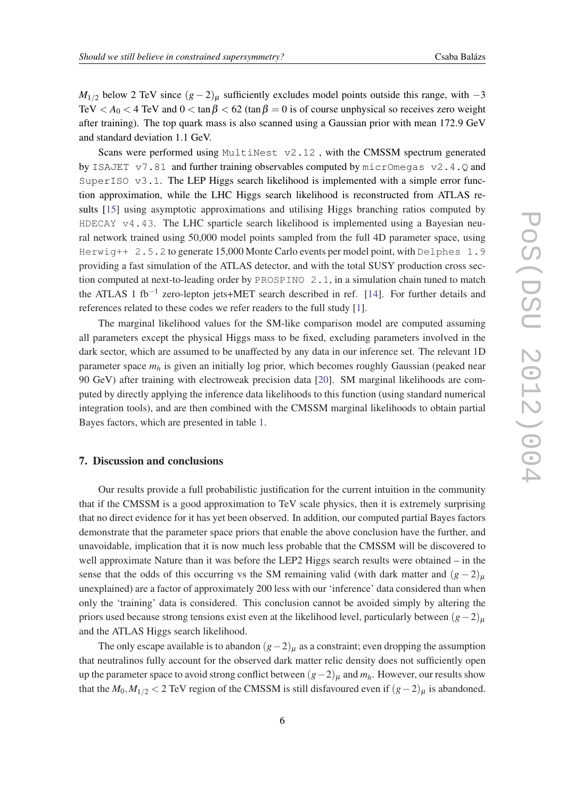$M_{1/2}$  below 2 TeV since  $(g-2)_{\mu}$  sufficiently excludes model points outside this range, with  $-3$ TeV  $\langle A_0 \rangle$  < 4 TeV and  $0 \rangle$  and  $0 \rangle$  tan  $\beta$   $\langle 62 \rangle$  (tan  $\beta = 0$  is of course unphysical so receives zero weight after training). The top quark mass is also scanned using a Gaussian prior with mean 172.9 GeV and standard deviation 1.1 GeV.

Scans were performed using MultiNest v2.12, with the CMSSM spectrum generated by ISAJET  $v7.81$  and further training observables computed by micrOmegas  $v2.4.Q$  and SuperISO v3.1. The LEP Higgs search likelihood is implemented with a simple error function approximation, while the LHC Higgs search likelihood is reconstructed from ATLAS results [[15\]](#page-7-0) using asymptotic approximations and utilising Higgs branching ratios computed by  $HDECAY$  v4.43. The LHC sparticle search likelihood is implemented using a Bayesian neural network trained using 50,000 model points sampled from the full 4D parameter space, using Herwig++ 2.5.2 to generate 15,000 Monte Carlo events per model point, with Delphes 1.9 providing a fast simulation of the ATLAS detector, and with the total SUSY production cross section computed at next-to-leading order by PROSPINO 2.1, in a simulation chain tuned to match the ATLAS 1 fb<sup>-1</sup> zero-lepton jets+MET search described in ref. [[14\]](#page-7-0). For further details and references related to these codes we refer readers to the full study [\[1\]](#page-7-0).

The marginal likelihood values for the SM-like comparison model are computed assuming all parameters except the physical Higgs mass to be fixed, excluding parameters involved in the dark sector, which are assumed to be unaffected by any data in our inference set. The relevant 1D parameter space *m<sup>h</sup>* is given an initially log prior, which becomes roughly Gaussian (peaked near 90 GeV) after training with electroweak precision data [\[20](#page-7-0)]. SM marginal likelihoods are computed by directly applying the inference data likelihoods to this function (using standard numerical integration tools), and are then combined with the CMSSM marginal likelihoods to obtain partial Bayes factors, which are presented in table [1](#page-6-0).

# 7. Discussion and conclusions

Our results provide a full probabilistic justification for the current intuition in the community that if the CMSSM is a good approximation to TeV scale physics, then it is extremely surprising that no direct evidence for it has yet been observed. In addition, our computed partial Bayes factors demonstrate that the parameter space priors that enable the above conclusion have the further, and unavoidable, implication that it is now much less probable that the CMSSM will be discovered to well approximate Nature than it was before the LEP2 Higgs search results were obtained – in the sense that the odds of this occurring vs the SM remaining valid (with dark matter and  $(g - 2)_{\mu}$ ) unexplained) are a factor of approximately 200 less with our 'inference' data considered than when only the 'training' data is considered. This conclusion cannot be avoided simply by altering the priors used because strong tensions exist even at the likelihood level, particularly between  $(g-2)_{\mu}$ and the ATLAS Higgs search likelihood.

The only escape available is to abandon  $(g-2)_{\mu}$  as a constraint; even dropping the assumption that neutralinos fully account for the observed dark matter relic density does not sufficiently open up the parameter space to avoid strong conflict between (*g*−2)<sup>µ</sup> and *mh*. However, our results show that the  $M_0, M_{1/2}$  < 2 TeV region of the CMSSM is still disfavoured even if  $(g-2)$ <sub>µ</sub> is abandoned.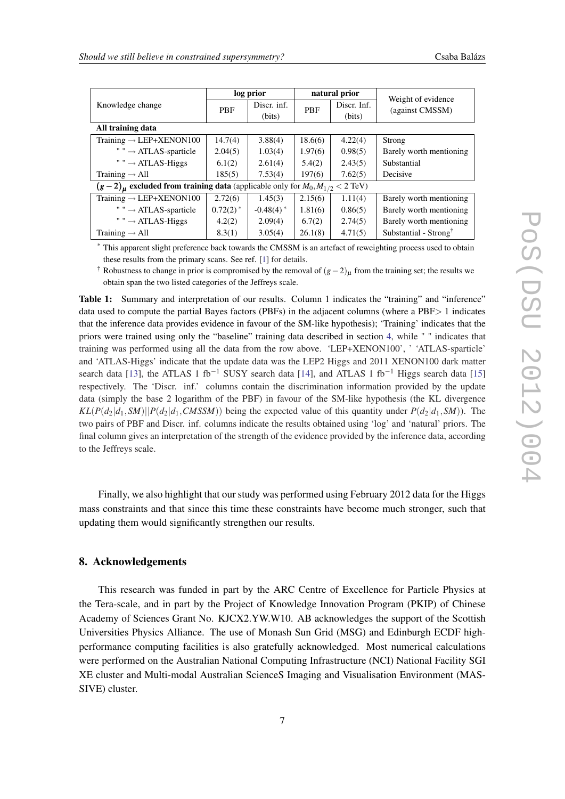<span id="page-6-0"></span>

| Knowledge change                                                                                       | log prior     |                         | natural prior |             | Weight of evidence                |
|--------------------------------------------------------------------------------------------------------|---------------|-------------------------|---------------|-------------|-----------------------------------|
|                                                                                                        | <b>PBF</b>    | Discr. inf.             | <b>PBF</b>    | Discr. Inf. | (against CMSSM)                   |
|                                                                                                        |               | (bits)                  |               | (bits)      |                                   |
| All training data                                                                                      |               |                         |               |             |                                   |
| Training $\rightarrow$ LEP+XENON100                                                                    | 14.7(4)       | 3.88(4)                 | 18.6(6)       | 4.22(4)     | Strong                            |
| " " $\rightarrow$ ATLAS-sparticle                                                                      | 2.04(5)       | 1.03(4)                 | 1.97(6)       | 0.98(5)     | Barely worth mentioning           |
| " " $\rightarrow$ ATLAS-Higgs                                                                          | 6.1(2)        | 2.61(4)                 | 5.4(2)        | 2.43(5)     | Substantial                       |
| Training $\rightarrow$ All                                                                             | 185(5)        | 7.53(4)                 | 197(6)        | 7.62(5)     | Decisive                          |
| $(g-2)$ <sub>u</sub> excluded from training data (applicable only for $M_0, M_{1/2} < 2 \text{ TeV}$ ) |               |                         |               |             |                                   |
| Training $\rightarrow$ LEP+XENON100                                                                    | 2.72(6)       | 1.45(3)                 | 2.15(6)       | 1.11(4)     | Barely worth mentioning           |
| " " $\rightarrow$ ATLAS-sparticle                                                                      | $0.72(2)^{*}$ | $-0.48(4)$ <sup>*</sup> | 1.81(6)       | 0.86(5)     | Barely worth mentioning           |
| " " $\rightarrow$ ATLAS-Higgs                                                                          | 4.2(2)        | 2.09(4)                 | 6.7(2)        | 2.74(5)     | Barely worth mentioning           |
| Training $\rightarrow$ All                                                                             | 8.3(1)        | 3.05(4)                 | 26.1(8)       | 4.71(5)     | Substantial - Strong <sup>†</sup> |

\* This apparent slight preference back towards the CMSSM is an artefact of reweighting process used to obtain these results from the primary scans. See ref. [\[1\]](#page-7-0) for details.

† Robustness to change in prior is compromised by the removal of  $(g-2)$ <sub>µ</sub> from the training set; the results we obtain span the two listed categories of the Jeffreys scale.

Table 1: Summary and interpretation of our results. Column 1 indicates the "training" and "inference" data used to compute the partial Bayes factors (PBFs) in the adjacent columns (where a PBF> 1 indicates that the inference data provides evidence in favour of the SM-like hypothesis); 'Training' indicates that the priors were trained using only the "baseline" training data described in section [4](#page-3-0), while " " indicates that training was performed using all the data from the row above. 'LEP+XENON100', ' 'ATLAS-sparticle' and 'ATLAS-Higgs' indicate that the update data was the LEP2 Higgs and 2011 XENON100 dark matter search data [[13\]](#page-7-0), the ATLAS 1 fb<sup>-1</sup> SUSY search data [[14\]](#page-7-0), and ATLAS 1 fb<sup>-1</sup> Higgs search data [[15\]](#page-7-0) respectively. The 'Discr. inf.' columns contain the discrimination information provided by the update data (simply the base 2 logarithm of the PBF) in favour of the SM-like hypothesis (the KL divergence  $KL(P(d_2|d_1, SM)||P(d_2|d_1, CMSM))$  being the expected value of this quantity under  $P(d_2|d_1, SM)$ . The two pairs of PBF and Discr. inf. columns indicate the results obtained using 'log' and 'natural' priors. The final column gives an interpretation of the strength of the evidence provided by the inference data, according to the Jeffreys scale.

Finally, we also highlight that our study was performed using February 2012 data for the Higgs mass constraints and that since this time these constraints have become much stronger, such that updating them would significantly strengthen our results.

#### 8. Acknowledgements

This research was funded in part by the ARC Centre of Excellence for Particle Physics at the Tera-scale, and in part by the Project of Knowledge Innovation Program (PKIP) of Chinese Academy of Sciences Grant No. KJCX2.YW.W10. AB acknowledges the support of the Scottish Universities Physics Alliance. The use of Monash Sun Grid (MSG) and Edinburgh ECDF highperformance computing facilities is also gratefully acknowledged. Most numerical calculations were performed on the Australian National Computing Infrastructure (NCI) National Facility SGI XE cluster and Multi-modal Australian ScienceS Imaging and Visualisation Environment (MAS-SIVE) cluster.